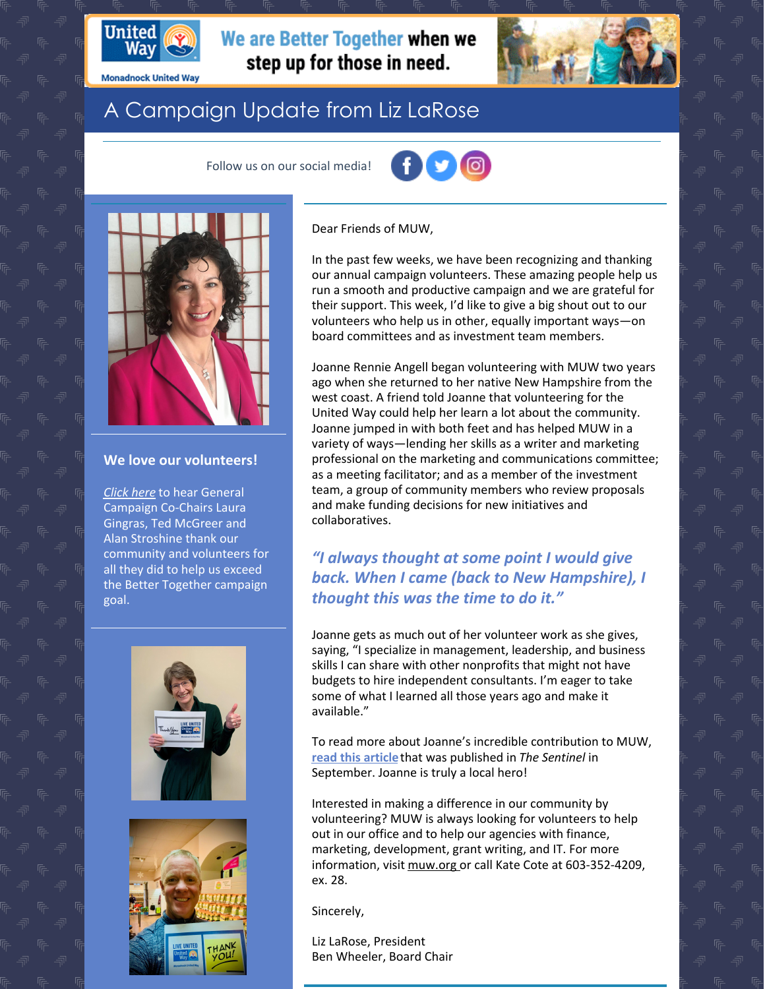

**Monadnock United Way** 

# We are Better Together when we

### A Campaign Update from Liz LaRose

Follow us on our social media!





#### **We love our volunteers!**

*[Click](https://www.youtube.com/watch?v=FfQQky4PV3s&feature=youtu.be) here* to hear General Campaign Co-Chairs Laura Gingras, Ted McGreer and Alan Stroshine thank our community and volunteers for all they did to help us exceed the Better Together campaign goal.





Dear Friends of MUW,

step up for those in need.

In the past few weeks, we have been recognizing and thanking our annual campaign volunteers. These amazing people help us run a smooth and productive campaign and we are grateful for their support. This week, I'd like to give a big shout out to our volunteers who help us in other, equally important ways—on board committees and as investment team members.

Joanne Rennie Angell began volunteering with MUW two years ago when she returned to her native New Hampshire from the west coast. A friend told Joanne that volunteering for the United Way could help her learn a lot about the community. Joanne jumped in with both feet and has helped MUW in a variety of ways—lending her skills as a writer and marketing professional on the marketing and communications committee; as a meeting facilitator; and as a member of the investment team, a group of community members who review proposals and make funding decisions for new initiatives and collaboratives.

#### *"I always thought at some point I would give back. When I came (back to New Hampshire), I thought this was the time to do it."*

Joanne gets as much out of her volunteer work as she gives, saying, "I specialize in management, leadership, and business skills I can share with other nonprofits that might not have budgets to hire independent consultants. I'm eager to take some of what I learned all those years ago and make it available."

To read more about Joanne's incredible contribution to MUW, **read this [article](https://www.sentinelsource.com/monadnock_table/local-hero-joanne-rennie-angell-volunteer-monadnock-united-way/article_32afc8bc-f9d0-11ea-a855-6bed0cb3baa0.html)**that was published in *The Sentinel* in September. Joanne is truly a local hero!

Interested in making a difference in our community by volunteering? MUW is always looking for volunteers to help out in our office and to help our agencies with finance, marketing, development, grant writing, and IT. For more information, visit [muw.org](http://www.muw.org/) or call Kate Cote at 603-352-4209, ex. 28.

Sincerely,

Liz LaRose, President Ben Wheeler, Board Chair